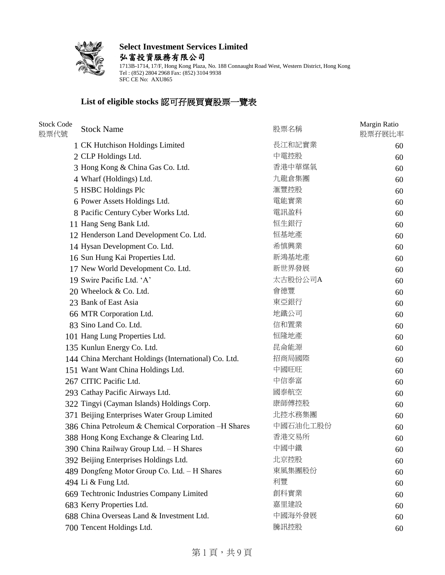

**Select Investment Services Limited** 弘富投資服務有限公司

1713B-1714, 17/F, Hong Kong Plaza, No. 188 Connaught Road West, Western District, Hong Kong Tel : (852) 2804 2968 Fax: (852) 3104 9938 SFC CE No: AXU865

#### **List of eligible stocks** 認可孖展買賣股票一覽表

| <b>Stock Code</b><br>股票代號 | <b>Stock Name</b>                                    | 股票名稱     | Margin Ratio<br>股票孖展比率 |
|---------------------------|------------------------------------------------------|----------|------------------------|
|                           | 1 CK Hutchison Holdings Limited                      | 長江和記實業   | 60                     |
|                           | 2 CLP Holdings Ltd.                                  | 中電控股     | 60                     |
|                           | 3 Hong Kong & China Gas Co. Ltd.                     | 香港中華煤氣   | 60                     |
|                           | 4 Wharf (Holdings) Ltd.                              | 九龍倉集團    | 60                     |
|                           | 5 HSBC Holdings Plc                                  | 滙豐控股     | 60                     |
|                           | 6 Power Assets Holdings Ltd.                         | 電能實業     | 60                     |
|                           | 8 Pacific Century Cyber Works Ltd.                   | 電訊盈科     | 60                     |
|                           | 11 Hang Seng Bank Ltd.                               | 恒生銀行     | 60                     |
|                           | 12 Henderson Land Development Co. Ltd.               | 恒基地產     | 60                     |
|                           | 14 Hysan Development Co. Ltd.                        | 希慎興業     | 60                     |
|                           | 16 Sun Hung Kai Properties Ltd.                      | 新鴻基地產    | 60                     |
|                           | 17 New World Development Co. Ltd.                    | 新世界發展    | 60                     |
|                           | 19 Swire Pacific Ltd. 'A'                            | 太古股份公司A  | 60                     |
|                           | 20 Wheelock & Co. Ltd.                               | 會德豐      | 60                     |
|                           | 23 Bank of East Asia                                 | 東亞銀行     | 60                     |
|                           | 66 MTR Corporation Ltd.                              | 地鐵公司     | 60                     |
|                           | 83 Sino Land Co. Ltd.                                | 信和置業     | 60                     |
|                           | 101 Hang Lung Properties Ltd.                        | 恒隆地產     | 60                     |
|                           | 135 Kunlun Energy Co. Ltd.                           | 昆侖能源     | 60                     |
|                           | 144 China Merchant Holdings (International) Co. Ltd. | 招商局國際    | 60                     |
|                           | 151 Want Want China Holdings Ltd.                    | 中國旺旺     | 60                     |
|                           | 267 CITIC Pacific Ltd.                               | 中信泰富     | 60                     |
|                           | 293 Cathay Pacific Airways Ltd.                      | 國泰航空     | 60                     |
|                           | 322 Tingyi (Cayman Islands) Holdings Corp.           | 康師傅控股    | 60                     |
|                           | 371 Beijing Enterprises Water Group Limited          | 北控水務集團   | 60                     |
|                           | 386 China Petroleum & Chemical Corporation -H Shares | 中國石油化工股份 | 60                     |
|                           | 388 Hong Kong Exchange & Clearing Ltd.               | 香港交易所    | 60                     |
|                           | 390 China Railway Group Ltd. - H Shares              | 中國中鐵     | 60                     |
|                           | 392 Beijing Enterprises Holdings Ltd.                | 北京控股     | 60                     |
|                           | 489 Dongfeng Motor Group Co. Ltd. - H Shares         | 東風集團股份   | 60                     |
|                           | 494 Li & Fung Ltd.                                   | 利豐       | 60                     |
|                           | 669 Techtronic Industries Company Limited            | 創科實業     | 60                     |
|                           | 683 Kerry Properties Ltd.                            | 嘉里建設     | 60                     |
|                           | 688 China Overseas Land & Investment Ltd.            | 中國海外發展   | 60                     |
|                           | 700 Tencent Holdings Ltd.                            | 騰訊控股     | 60                     |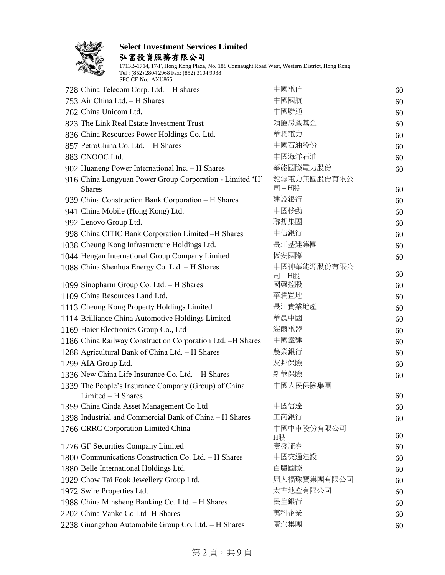

弘富投資服務有限公司

| 728 China Telecom Corp. Ltd. - H shares                                    | 中國電信                | 60 |
|----------------------------------------------------------------------------|---------------------|----|
| 753 Air China Ltd. - H Shares                                              | 中國國航                | 60 |
| 762 China Unicom Ltd.                                                      | 中國聯通                | 60 |
| 823 The Link Real Estate Investment Trust                                  | 領匯房產基金              | 60 |
| 836 China Resources Power Holdings Co. Ltd.                                | 華潤電力                | 60 |
| 857 PetroChina Co. Ltd. - H Shares                                         | 中國石油股份              | 60 |
| 883 CNOOC Ltd.                                                             | 中國海洋石油              | 60 |
| 902 Huaneng Power International Inc. - H Shares                            | 華能國際電力股份            | 60 |
| 916 China Longyuan Power Group Corporation - Limited 'H'<br><b>Shares</b>  | 龍源電力集團股份有限公<br>司-H股 | 60 |
| 939 China Construction Bank Corporation - H Shares                         | 建設銀行                | 60 |
| 941 China Mobile (Hong Kong) Ltd.                                          | 中國移動                | 60 |
| 992 Lenovo Group Ltd.                                                      | 聯想集團                | 60 |
| 998 China CITIC Bank Corporation Limited -H Shares                         | 中信銀行                | 60 |
| 1038 Cheung Kong Infrastructure Holdings Ltd.                              | 長江基建集團              | 60 |
| 1044 Hengan International Group Company Limited                            | 恆安國際                | 60 |
| 1088 China Shenhua Energy Co. Ltd. - H Shares                              | 中國神華能源股份有限公<br>司-H股 | 60 |
| 1099 Sinopharm Group Co. Ltd. - H Shares                                   | 國藥控股                | 60 |
| 1109 China Resources Land Ltd.                                             | 華潤置地                | 60 |
| 1113 Cheung Kong Property Holdings Limited                                 | 長江實業地產              | 60 |
| 1114 Brilliance China Automotive Holdings Limited                          | 華晨中國                | 60 |
| 1169 Haier Electronics Group Co., Ltd                                      | 海爾電器                | 60 |
| 1186 China Railway Construction Corporation Ltd. -H Shares                 | 中國鐵建                | 60 |
| 1288 Agricultural Bank of China Ltd. - H Shares                            | 農業銀行                | 60 |
| 1299 AIA Group Ltd.                                                        | 友邦保險                | 60 |
| 1336 New China Life Insurance Co. Ltd. - H Shares                          | 新華保險                | 60 |
| 1339 The People's Insurance Company (Group) of China<br>Limited - H Shares | 中國人民保險集團            | 60 |
| 1359 China Cinda Asset Management Co Ltd                                   | 中國信達                | 60 |
| 1398 Industrial and Commercial Bank of China - H Shares                    | 工商銀行                | 60 |
| 1766 CRRC Corporation Limited China                                        | 中國中車股份有限公司 –        | 60 |
| 1776 GF Securities Company Limited                                         | H股<br>廣發証券          | 60 |
| 1800 Communications Construction Co. Ltd. - H Shares                       | 中國交通建設              | 60 |
| 1880 Belle International Holdings Ltd.                                     | 百麗國際                | 60 |
| 1929 Chow Tai Fook Jewellery Group Ltd.                                    | 周大福珠寶集團有限公司         | 60 |
| 1972 Swire Properties Ltd.                                                 | 太古地產有限公司            | 60 |
| 1988 China Minsheng Banking Co. Ltd. - H Shares                            | 民生銀行                | 60 |
| 2202 China Vanke Co Ltd- H Shares                                          | 萬科企業                | 60 |
| 2238 Guangzhou Automobile Group Co. Ltd. - H Shares                        | 廣汽集團                | 60 |
|                                                                            |                     |    |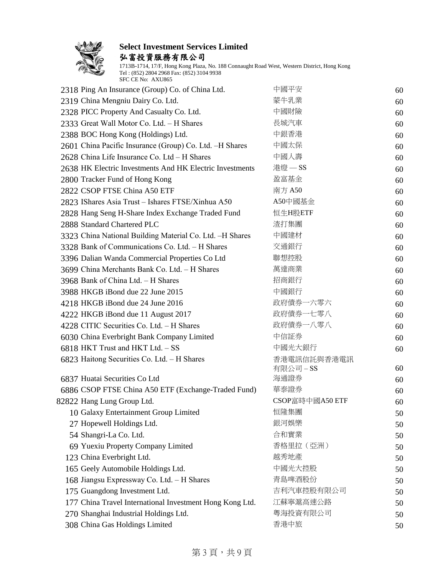

弘富投資服務有限公司

| 2318 Ping An Insurance (Group) Co. of China Ltd.         | 中國平安            | 60 |
|----------------------------------------------------------|-----------------|----|
| 2319 China Mengniu Dairy Co. Ltd.                        | 蒙牛乳業            | 60 |
| 2328 PICC Property And Casualty Co. Ltd.                 | 中國財險            | 60 |
| 2333 Great Wall Motor Co. Ltd. - H Shares                | 長城汽車            | 60 |
| 2388 BOC Hong Kong (Holdings) Ltd.                       | 中銀香港            | 60 |
| 2601 China Pacific Insurance (Group) Co. Ltd. -H Shares  | 中國太保            | 60 |
| 2628 China Life Insurance Co. Ltd - H Shares             | 中國人壽            | 60 |
| 2638 HK Electric Investments And HK Electric Investments | 港燈 - SS         | 60 |
| 2800 Tracker Fund of Hong Kong                           | 盈富基金            | 60 |
| 2822 CSOP FTSE China A50 ETF                             | 南方 A50          | 60 |
| 2823 IShares Asia Trust - Ishares FTSE/Xinhua A50        | A50中國基金         | 60 |
| 2828 Hang Seng H-Share Index Exchange Traded Fund        | 恒生H股ETF         | 60 |
| 2888 Standard Chartered PLC                              | 渣打集團            | 60 |
| 3323 China National Building Material Co. Ltd. -H Shares | 中國建材            | 60 |
| 3328 Bank of Communications Co. Ltd. - H Shares          | 交通銀行            | 60 |
| 3396 Dalian Wanda Commercial Properties Co Ltd           | 聯想控股            | 60 |
| 3699 China Merchants Bank Co. Ltd. - H Shares            | 萬達商業            | 60 |
| 3968 Bank of China Ltd. - H Shares                       | 招商銀行            | 60 |
| 3988 HKGB iBond due 22 June 2015                         | 中國銀行            | 60 |
| 4218 HKGB iBond due 24 June 2016                         | 政府債券一六零六        | 60 |
| 4222 HKGB iBond due 11 August 2017                       | 政府債券一七零八        | 60 |
| 4228 CITIC Securities Co. Ltd. - H Shares                | 政府債券一八零八        | 60 |
| 6030 China Everbright Bank Company Limited               | 中信証券            | 60 |
| 6818 HKT Trust and HKT Ltd. - SS                         | 中國光大銀行          | 60 |
| 6823 Haitong Securities Co. Ltd. - H Shares              | 香港電訊信託與香港電訊     |    |
|                                                          | 有限公司-SS         | 60 |
| 6837 Huatai Securities Co Ltd                            | 海通證券            | 60 |
| 6886 CSOP FTSE China A50 ETF (Exchange-Traded Fund)      | 華泰證券            | 60 |
| 82822 Hang Lung Group Ltd.                               | CSOP富時中國A50 ETF | 60 |
| 10 Galaxy Entertainment Group Limited                    | 恒隆集團            | 50 |
| 27 Hopewell Holdings Ltd.                                | 銀河娛樂            | 50 |
| 54 Shangri-La Co. Ltd.                                   | 合和實業            | 50 |
| 69 Yuexiu Property Company Limited                       | 香格里拉 (亞洲)       | 50 |
| 123 China Everbright Ltd.                                | 越秀地產            | 50 |
| 165 Geely Automobile Holdings Ltd.                       | 中國光大控股          | 50 |
| 168 Jiangsu Expressway Co. Ltd. - H Shares               | 青島啤酒股份          | 50 |
| 175 Guangdong Investment Ltd.                            | 吉利汽車控股有限公司      | 50 |
| 177 China Travel International Investment Hong Kong Ltd. | 江蘇寧滬高速公路        | 50 |
| 270 Shanghai Industrial Holdings Ltd.                    | 粤海投資有限公司        | 50 |
| 308 China Gas Holdings Limited                           | 香港中旅            | 50 |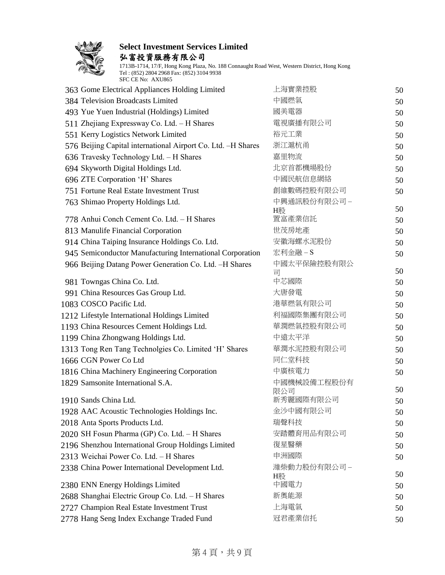

弘富投資服務有限公司

1713B-1714, 17/F, Hong Kong Plaza, No. 188 Connaught Road West, Western District, Hong Kong Tel : (852) 2804 2968 Fax: (852) 3104 9938 SFC CE No: AXU865

| 363 Gome Electrical Appliances Holding Limited               | 上海實業控股           | 50 |
|--------------------------------------------------------------|------------------|----|
| 384 Television Broadcasts Limited                            | 中國燃氣             | 50 |
| 493 Yue Yuen Industrial (Holdings) Limited                   | 國美電器             | 50 |
| 511 Zhejiang Expressway Co. Ltd. - H Shares                  | 電視廣播有限公司         | 50 |
| 551 Kerry Logistics Network Limited                          | 裕元工業             | 50 |
| 576 Beijing Capital international Airport Co. Ltd. -H Shares | 浙江滬杭甬            | 50 |
| 636 Travesky Technology Ltd. - H Shares                      | 嘉里物流             | 50 |
| 694 Skyworth Digital Holdings Ltd.                           | 北京首都機場股份         | 50 |
| 696 ZTE Corporation 'H' Shares                               | 中國民航信息網絡         | 50 |
| 751 Fortune Real Estate Investment Trust                     | 創維數碼控股有限公司       | 50 |
| 763 Shimao Property Holdings Ltd.                            | 中興通訊股份有限公司-      |    |
|                                                              | H股               | 50 |
| 778 Anhui Conch Cement Co. Ltd. - H Shares                   | 置富產業信託           | 50 |
| 813 Manulife Financial Corporation                           | 世茂房地產            | 50 |
| 914 China Taiping Insurance Holdings Co. Ltd.                | 安徽海螺水泥股份         | 50 |
| 945 Semiconductor Manufacturing International Corporation    | 宏利金融-S           | 50 |
| 966 Beijing Datang Power Generation Co. Ltd. -H Shares       | 中國太平保險控股有限公<br>킈 | 50 |
| 981 Towngas China Co. Ltd.                                   | 中芯國際             | 50 |
| 991 China Resources Gas Group Ltd.                           | 大唐發電             | 50 |
| 1083 COSCO Pacific Ltd.                                      | 港華燃氣有限公司         | 50 |
| 1212 Lifestyle International Holdings Limited                | 利福國際集團有限公司       | 50 |
| 1193 China Resources Cement Holdings Ltd.                    | 華潤燃氣控股有限公司       | 50 |
| 1199 China Zhongwang Holdings Ltd.                           | 中遠太平洋            | 50 |
| 1313 Tong Ren Tang Technolgies Co. Limited 'H' Shares        | 華潤水泥控股有限公司       | 50 |
| 1666 CGN Power Co Ltd                                        | 同仁堂科技            | 50 |
| 1816 China Machinery Engineering Corporation                 | 中廣核電力            | 50 |
| 1829 Samsonite International S.A.                            | 中國機械設備工程股份有      |    |
|                                                              | 限公司              | 50 |
| 1910 Sands China Ltd.                                        | 新秀麗國際有限公司        | 50 |
| 1928 AAC Acoustic Technologies Holdings Inc.                 | 金沙中國有限公司         | 50 |
| 2018 Anta Sports Products Ltd.                               | 瑞聲科技             | 50 |
| 2020 SH Fosun Pharma (GP) Co. Ltd. - H Shares                | 安踏體育用品有限公司       | 50 |
| 2196 Shenzhou International Group Holdings Limited           | 復星醫藥             | 50 |
| 2313 Weichai Power Co. Ltd. - H Shares                       | 申洲國際             | 50 |
| 2338 China Power International Development Ltd.              | 濰柴動力股份有限公司-      | 50 |
| 2380 ENN Energy Holdings Limited                             | H股<br>中國電力       |    |
| 2688 Shanghai Electric Group Co. Ltd. - H Shares             | 新奧能源             | 50 |
| 2727 Champion Real Estate Investment Trust                   | 上海電氣             | 50 |
|                                                              | 冠君產業信托           | 50 |
| 2778 Hang Seng Index Exchange Traded Fund                    |                  | 50 |

#### 第4頁,共9頁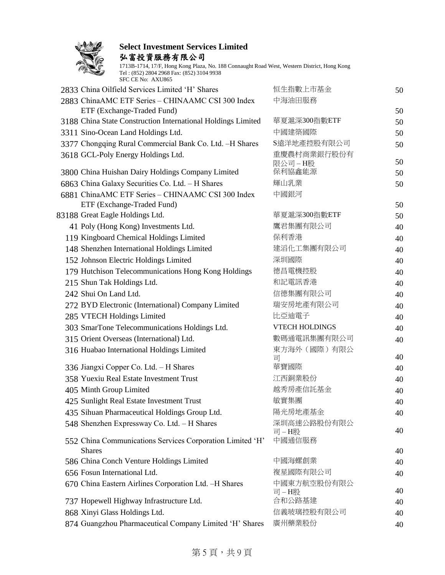

弘富投資服務有限公司

| SFC CE No: AXU865                                                                             |                       |    |
|-----------------------------------------------------------------------------------------------|-----------------------|----|
| 2833 China Oilfield Services Limited 'H' Shares                                               | 恒生指數上市基金              | 50 |
| 2883 ChinaAMC ETF Series - CHINAAMC CSI 300 Index                                             | 中海油田服務                |    |
| ETF (Exchange-Traded Fund)<br>3188 China State Construction International Holdings Limited    | 華夏滬深300指數ETF          | 50 |
|                                                                                               | 中國建築國際                | 50 |
| 3311 Sino-Ocean Land Holdings Ltd.                                                            | S遠洋地產控股有限公司           | 50 |
| 3377 Chongqing Rural Commercial Bank Co. Ltd. -H Shares<br>3618 GCL-Poly Energy Holdings Ltd. | 重慶農村商業銀行股份有           | 50 |
|                                                                                               | 限公司-H股                | 50 |
| 3800 China Huishan Dairy Holdings Company Limited                                             | 保利協鑫能源                | 50 |
| 6863 China Galaxy Securities Co. Ltd. - H Shares                                              | 輝山乳業                  | 50 |
| 6881 ChinaAMC ETF Series - CHINAAMC CSI 300 Index<br>ETF (Exchange-Traded Fund)               | 中國銀河                  | 50 |
| 83188 Great Eagle Holdings Ltd.                                                               | 華夏滬深300指數ETF          | 50 |
| 41 Poly (Hong Kong) Investments Ltd.                                                          | 鷹君集團有限公司              | 40 |
| 119 Kingboard Chemical Holdings Limited                                                       | 保利香港                  | 40 |
| 148 Shenzhen International Holdings Limited                                                   | 建滔化工集團有限公司            | 40 |
| 152 Johnson Electric Holdings Limited                                                         | 深圳國際                  | 40 |
| 179 Hutchison Telecommunications Hong Kong Holdings                                           | 德昌電機控股                | 40 |
| 215 Shun Tak Holdings Ltd.                                                                    | 和記電訊香港                | 40 |
| 242 Shui On Land Ltd.                                                                         | 信德集團有限公司              | 40 |
| 272 BYD Electronic (International) Company Limited                                            | 瑞安房地產有限公司             | 40 |
| 285 VTECH Holdings Limited                                                                    | 比亞迪電子                 | 40 |
| 303 SmarTone Telecommunications Holdings Ltd.                                                 | <b>VTECH HOLDINGS</b> | 40 |
| 315 Orient Overseas (International) Ltd.                                                      | 數碼通電訊集團有限公司           | 40 |
| 316 Huabao International Holdings Limited                                                     | 東方海外 (國際) 有限公<br>司    | 40 |
| 336 Jiangxi Copper Co. Ltd. - H Shares                                                        | 華寶國際                  | 40 |
| 358 Yuexiu Real Estate Investment Trust                                                       | 江西銅業股份                | 40 |
| 405 Minth Group Limited                                                                       | 越秀房產信託基金              | 40 |
| 425 Sunlight Real Estate Investment Trust                                                     | 敏實集團                  | 40 |
| 435 Sihuan Pharmaceutical Holdings Group Ltd.                                                 | 陽光房地產基金               | 40 |
| 548 Shenzhen Expressway Co. Ltd. - H Shares                                                   | 深圳高速公路股份有限公           | 40 |
| 552 China Communications Services Corporation Limited 'H'                                     | 司-H股<br>中國通信服務        |    |
| <b>Shares</b><br>586 China Conch Venture Holdings Limited                                     | 中國海螺創業                | 40 |
| 656 Fosun International Ltd.                                                                  | 複星國際有限公司              | 40 |
| 670 China Eastern Airlines Corporation Ltd. -H Shares                                         | 中國東方航空股份有限公           | 40 |
|                                                                                               | 司-H股                  | 40 |
| 737 Hopewell Highway Infrastructure Ltd.                                                      | 合和公路基建                | 40 |
| 868 Xinyi Glass Holdings Ltd.                                                                 | 信義玻璃控股有限公司            | 40 |
| 874 Guangzhou Pharmaceutical Company Limited 'H' Shares                                       | 廣州藥業股份                | 40 |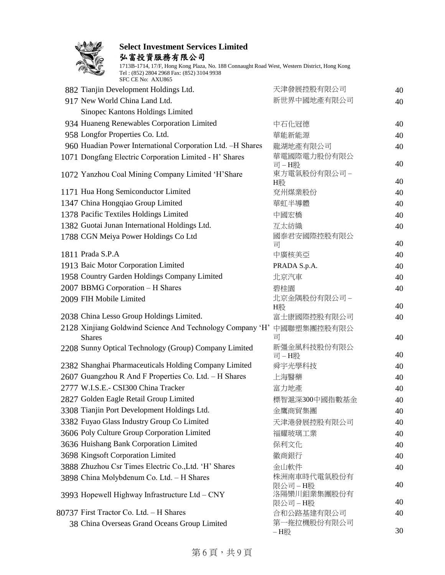

弘富投資服務有限公司

|  | 882 Tianjin Development Holdings Ltd.                      | 天津發展控股有限公司              | 40 |
|--|------------------------------------------------------------|-------------------------|----|
|  | 917 New World China Land Ltd.                              | 新世界中國地產有限公司             | 40 |
|  | Sinopec Kantons Holdings Limited                           |                         |    |
|  | 934 Huaneng Renewables Corporation Limited                 | 中石化冠德                   | 40 |
|  | 958 Longfor Properties Co. Ltd.                            | 華能新能源                   | 40 |
|  | 960 Huadian Power International Corporation Ltd. -H Shares | 龍湖地產有限公司                | 40 |
|  | 1071 Dongfang Electric Corporation Limited - H' Shares     | 華電國際電力股份有限公             |    |
|  |                                                            | 司-H股                    | 40 |
|  | 1072 Yanzhou Coal Mining Company Limited 'H'Share          | 東方電氣股份有限公司-<br>H股       | 40 |
|  | 1171 Hua Hong Semiconductor Limited                        | 兗州煤業股份                  | 40 |
|  | 1347 China Hongqiao Group Limited                          | 華虹半導體                   | 40 |
|  | 1378 Pacific Textiles Holdings Limited                     | 中國宏橋                    | 40 |
|  | 1382 Guotai Junan International Holdings Ltd.              | 互太紡織                    | 40 |
|  | 1788 CGN Meiya Power Holdings Co Ltd                       | 國泰君安國際控股有限公             |    |
|  |                                                            | 司                       | 40 |
|  | 1811 Prada S.P.A                                           | 中廣核美亞                   | 40 |
|  | 1913 Baic Motor Corporation Limited                        | PRADA S.p.A.            | 40 |
|  | 1958 Country Garden Holdings Company Limited               | 北京汽車                    | 40 |
|  | 2007 BBMG Corporation - H Shares                           | 碧桂園                     | 40 |
|  | 2009 FIH Mobile Limited                                    | 北京金隅股份有限公司 –<br>H股      | 40 |
|  | 2038 China Lesso Group Holdings Limited.                   | 富士康國際控股有限公司             | 40 |
|  | 2128 Xinjiang Goldwind Science And Technology Company 'H'  | 中國聯塑集團控股有限公             |    |
|  | <b>Shares</b>                                              | 司                       | 40 |
|  | 2208 Sunny Optical Technology (Group) Company Limited      | 新彊金風科技股份有限公             |    |
|  |                                                            | 司-H股                    | 40 |
|  | 2382 Shanghai Pharmaceuticals Holding Company Limited      | 舜宇光學科技                  | 40 |
|  | 2607 Guangzhou R And F Properties Co. Ltd. - H Shares      | 上海醫藥                    | 40 |
|  | 2777 W.I.S.E.- CSI300 China Tracker                        | 富力地產                    | 40 |
|  | 2827 Golden Eagle Retail Group Limited                     | 標智滬深300中國指數基金           | 40 |
|  | 3308 Tianjin Port Development Holdings Ltd.                | 金鷹商貿集團                  | 40 |
|  | 3382 Fuyao Glass Industry Group Co Limited                 | 天津港發展控股有限公司             | 40 |
|  | 3606 Poly Culture Group Corporation Limited                | 福耀玻璃工業                  | 40 |
|  | 3636 Huishang Bank Corporation Limited                     | 保利文化                    | 40 |
|  | 3698 Kingsoft Corporation Limited                          | 徽商銀行                    | 40 |
|  | 3888 Zhuzhou Csr Times Electric Co., Ltd. 'H' Shares       | 金山軟件                    | 40 |
|  | 3898 China Molybdenum Co. Ltd. - H Shares                  | 株洲南車時代電氣股份有<br>限公司 – H股 | 40 |
|  | 3993 Hopewell Highway Infrastructure Ltd - CNY             | 洛陽欒川鉬業集團股份有             |    |
|  |                                                            | 限公司–H股                  | 40 |
|  | 80737 First Tractor Co. Ltd. - H Shares                    | 合和公路基建有限公司              | 40 |
|  | 38 China Overseas Grand Oceans Group Limited               | 第一拖拉機股份有限公司             | 30 |
|  |                                                            | - H股                    |    |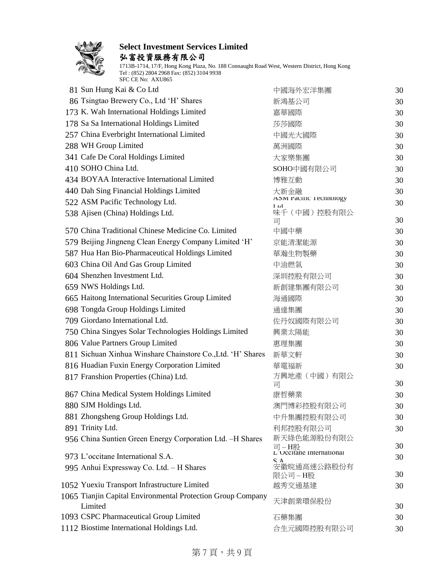

弘富投資服務有限公司

| 81 Sun Hung Kai & Co Ltd                                    | 中國海外宏洋集團                           | 30 |
|-------------------------------------------------------------|------------------------------------|----|
| 86 Tsingtao Brewery Co., Ltd 'H' Shares                     | 新鴻基公司                              | 30 |
| 173 K. Wah International Holdings Limited                   | 嘉華國際                               | 30 |
| 178 Sa Sa International Holdings Limited                    | 莎莎國際                               | 30 |
| 257 China Everbright International Limited                  | 中國光大國際                             | 30 |
| 288 WH Group Limited                                        | 萬洲國際                               | 30 |
| 341 Cafe De Coral Holdings Limited                          | 大家樂集團                              | 30 |
| 410 SOHO China Ltd.                                         | SOHO中國有限公司                         | 30 |
| 434 BOYAA Interactive International Limited                 | 博雅互動                               | 30 |
| 440 Dah Sing Financial Holdings Limited                     | 大新金融                               | 30 |
| 522 ASM Pacific Technology Ltd.                             | ASM Pacific 1 echnology<br>L td    | 30 |
| 538 Ajisen (China) Holdings Ltd.                            | 味千 (中國) 控股有限公<br>司                 | 30 |
| 570 China Traditional Chinese Medicine Co. Limited          | 中國中藥                               | 30 |
| 579 Beijing Jingneng Clean Energy Company Limited 'H'       | 京能清潔能源                             | 30 |
| 587 Hua Han Bio-Pharmaceutical Holdings Limited             | 華瀚生物製藥                             | 30 |
| 603 China Oil And Gas Group Limited                         | 中油燃氣                               | 30 |
| 604 Shenzhen Investment Ltd.                                | 深圳控股有限公司                           | 30 |
| 659 NWS Holdings Ltd.                                       | 新創建集團有限公司                          | 30 |
| 665 Haitong International Securities Group Limited          | 海通國際                               | 30 |
| 698 Tongda Group Holdings Limited                           | 通達集團                               | 30 |
| 709 Giordano International Ltd.                             | 佐丹奴國際有限公司                          | 30 |
| 750 China Singyes Solar Technologies Holdings Limited       | 興業太陽能                              | 30 |
| 806 Value Partners Group Limited                            | 惠理集團                               | 30 |
| 811 Sichuan Xinhua Winshare Chainstore Co., Ltd. 'H' Shares | 新華文軒                               | 30 |
| 816 Huadian Fuxin Energy Corporation Limited                | 華電福新                               | 30 |
| 817 Franshion Properties (China) Ltd.                       | 方興地產(中國)有限公<br>司                   | 30 |
| 867 China Medical System Holdings Limited                   | 康哲藥業                               | 30 |
| 880 SJM Holdings Ltd.                                       | 澳門博彩控股有限公司                         | 30 |
| 881 Zhongsheng Group Holdings Ltd.                          | 中升集團控股有限公司                         | 30 |
| 891 Trinity Ltd.                                            | 利邦控股有限公司                           | 30 |
| 956 China Suntien Green Energy Corporation Ltd. -H Shares   | 新天綠色能源股份有限公                        |    |
|                                                             | 司 – H股<br>L Occitane internationai | 30 |
| 973 L'occitane International S.A.                           |                                    | 30 |
| 995 Anhui Expressway Co. Ltd. - H Shares                    | 安徽皖通高速公路股份有<br>限公司-H股              | 30 |
| 1052 Yuexiu Transport Infrastructure Limited                | 越秀交通基建                             | 30 |
| 1065 Tianjin Capital Environmental Protection Group Company | 天津創業環保股份                           |    |
| Limited                                                     |                                    | 30 |
| 1093 CSPC Pharmaceutical Group Limited                      | 石藥集團                               | 30 |
| 1112 Biostime International Holdings Ltd.                   | 合生元國際控股有限公司                        | 30 |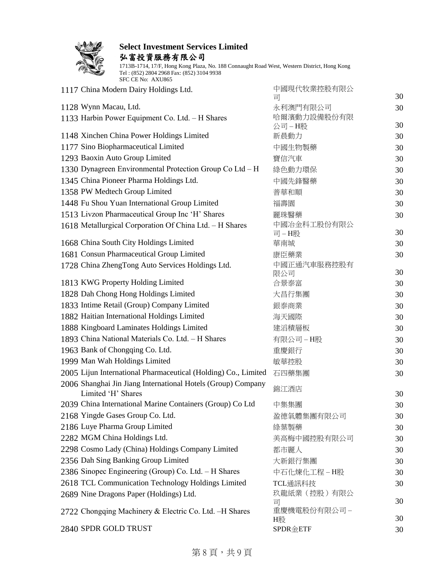

弘富投資服務有限公司

| 1117 China Modern Dairy Holdings Ltd.                          | 中國現代牧業控股有限公             |    |
|----------------------------------------------------------------|-------------------------|----|
|                                                                | 司                       | 30 |
| 1128 Wynn Macau, Ltd.                                          | 永利澳門有限公司<br>哈爾濱動力設備股份有限 | 30 |
| 1133 Harbin Power Equipment Co. Ltd. - H Shares                | 公司-H股                   | 30 |
| 1148 Xinchen China Power Holdings Limited                      | 新晨動力                    | 30 |
| 1177 Sino Biopharmaceutical Limited                            | 中國生物製藥                  | 30 |
| 1293 Baoxin Auto Group Limited                                 | 寶信汽車                    | 30 |
| 1330 Dynagreen Environmental Protection Group Co Ltd - H       | 綠色動力環保                  | 30 |
| 1345 China Pioneer Pharma Holdings Ltd.                        | 中國先鋒醫藥                  | 30 |
| 1358 PW Medtech Group Limited                                  | 普華和順                    | 30 |
| 1448 Fu Shou Yuan International Group Limited                  | 福壽園                     | 30 |
| 1513 Livzon Pharmaceutical Group Inc 'H' Shares                | 麗珠醫藥                    | 30 |
| 1618 Metallurgical Corporation Of China Ltd. - H Shares        | 中國冶金科工股份有限公             |    |
|                                                                | 司-H股                    | 30 |
| 1668 China South City Holdings Limited                         | 華南城                     | 30 |
| 1681 Consun Pharmaceutical Group Limited                       | 康臣藥業                    | 30 |
| 1728 China ZhengTong Auto Services Holdings Ltd.               | 中國正通汽車服務控股有<br>限公司      | 30 |
| 1813 KWG Property Holding Limited                              | 合景泰富                    | 30 |
| 1828 Dah Chong Hong Holdings Limited                           | 大昌行集團                   | 30 |
| 1833 Intime Retail (Group) Company Limited                     | 銀泰商業                    | 30 |
| 1882 Haitian International Holdings Limited                    | 海天國際                    | 30 |
| 1888 Kingboard Laminates Holdings Limited                      | 建滔積層板                   | 30 |
| 1893 China National Materials Co. Ltd. - H Shares              | 有限公司-H股                 | 30 |
| 1963 Bank of Chongqing Co. Ltd.                                | 重慶銀行                    | 30 |
| 1999 Man Wah Holdings Limited                                  | 敏華控股                    | 30 |
| 2005 Lijun International Pharmaceutical (Holding) Co., Limited | 石四藥集團                   | 30 |
| 2006 Shanghai Jin Jiang International Hotels (Group) Company   |                         |    |
| Limited 'H' Shares                                             | 錦江酒店                    | 30 |
| 2039 China International Marine Containers (Group) Co Ltd      | 中集集團                    | 30 |
| 2168 Yingde Gases Group Co. Ltd.                               | 盈德氣體集團有限公司              | 30 |
| 2186 Luye Pharma Group Limited                                 | 綠葉製藥                    | 30 |
| 2282 MGM China Holdings Ltd.                                   | 美高梅中國控股有限公司             | 30 |
| 2298 Cosmo Lady (China) Holdings Company Limited               | 都市麗人                    | 30 |
| 2356 Dah Sing Banking Group Limited                            | 大新銀行集團                  | 30 |
| 2386 Sinopec Engineering (Group) Co. Ltd. - H Shares           | 中石化煉化工程-H股              | 30 |
| 2618 TCL Communication Technology Holdings Limited             | TCL通訊科技                 | 30 |
| 2689 Nine Dragons Paper (Holdings) Ltd.                        | 玖龍紙業 (控股) 有限公           | 30 |
| 2722 Chongqing Machinery & Electric Co. Ltd. -H Shares         | 司<br>重慶機電股份有限公司 –       |    |
|                                                                | H股                      | 30 |
| 2840 SPDR GOLD TRUST                                           | <b>SPDR金ETF</b>         | 30 |